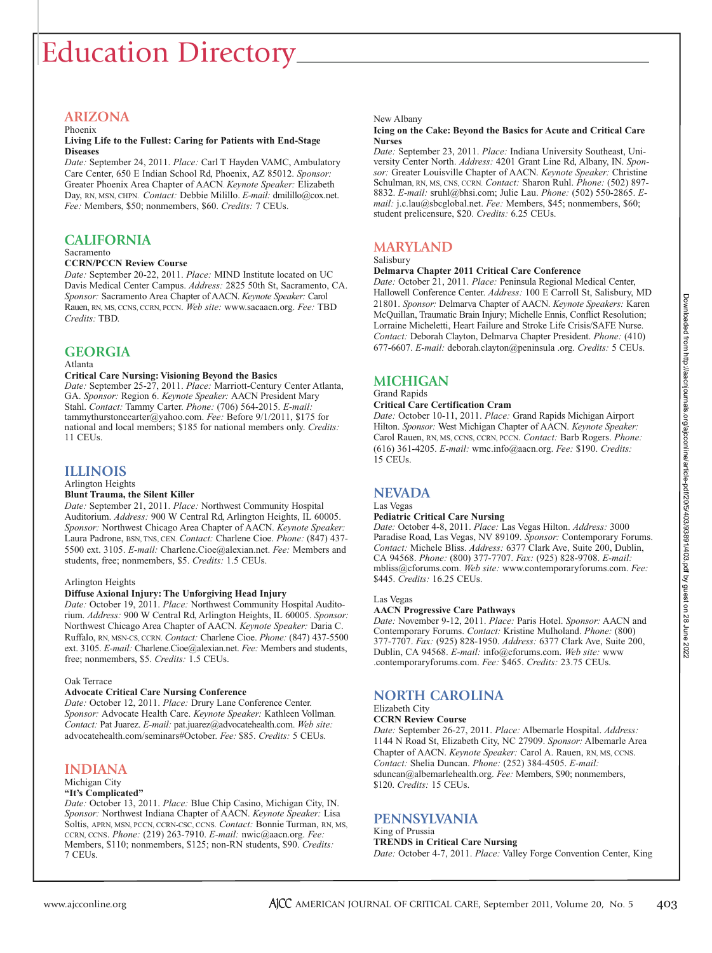# Education Directory

#### **ARIZONA** Phoenix

#### **Living Life to the Fullest: Caring for Patients with End-Stage Diseases**

*Date:* September 24, 2011. *Place:* Carl T Hayden VAMC, Ambulatory Care Center, 650 E Indian School Rd, Phoenix, AZ 85012. *Sponsor:* Greater Phoenix Area Chapter of AACN. *Keynote Speaker:* Elizabeth Day, RN, MSN, CHPN. *Contact:* Debbie Milillo. *E-mail:* dmilillo@cox.net. *Fee:* Members, \$50; nonmembers, \$60. *Credits:* 7 CEUs.

## **CALIFORNIA**

#### Sacramento **CCRN/PCCN Review Course**

#### *Date:* September 20-22, 2011. *Place:* MIND Institute located on UC Davis Medical Center Campus. *Address:* 2825 50th St, Sacramento, CA. *Sponsor:* Sacramento Area Chapter of AACN. *Keynote Speaker:* Carol Rauen, RN, MS, CCNS, CCRN, PCCN. *Web site:* www.sacaacn.org. *Fee:* TBD

## **GEORGIA**

*Credits:* TBD.

#### Atlanta

#### **Critical Care Nursing: Visioning Beyond the Basics**

*Date:* September 25-27, 2011. *Place:* Marriott-Century Center Atlanta, GA. *Sponsor:* Region 6. *Keynote Speaker:* AACN President Mary Stahl. *Contact:* Tammy Carter. *Phone:* (706) 564-2015. *E-mail:*  tammythurstonccarter@yahoo.com. *Fee:* Before 9/1/2011, \$175 for national and local members; \$185 for national members only. *Credits:* 11 CEUs.

## **ILLINOIS**

Arlington Heights

#### **Blunt Trauma, the Silent Killer**

*Date:* September 21, 2011. *Place:* Northwest Community Hospital Auditorium. *Address:* 900 W Central Rd, Arlington Heights, IL 60005. *Sponsor:* Northwest Chicago Area Chapter of AACN. *Keynote Speaker:* Laura Padrone, BSN, TNS, CEN. *Contact:* Charlene Cioe. *Phone:* (847) 437- 5500 ext. 3105. *E-mail:* Charlene.Cioe@alexian.net. *Fee:* Members and students, free; nonmembers, \$5. *Credits:* 1.5 CEUs.

#### Arlington Heights

#### **Diffuse Axional Injury: The Unforgiving Head Injury**

*Date:* October 19, 2011. *Place:* Northwest Community Hospital Auditorium. *Address:* 900 W Central Rd, Arlington Heights, IL 60005. *Sponsor:* Northwest Chicago Area Chapter of AACN. *Keynote Speaker:* Daria C. Ruffalo, RN, MSN-CS, CCRN. *Contact:* Charlene Cioe. *Phone:* (847) 437-5500 ext. 3105. *E-mail: Charlene.Cioe@alexian.net. Fee: Members and students,* free; nonmembers, \$5. *Credits:* 1.5 CEUs.

#### Oak Terrace

#### **Advocate Critical Care Nursing Conference**

*Date:* October 12, 2011. *Place:* Drury Lane Conference Center. *Sponsor:* Advocate Health Care. *Keynote Speaker:* Kathleen Vollman. *Contact:* Pat Juarez. *E-mail:* pat.juarez@advocatehealth.com. *Web site:* advocatehealth.com/seminars#October. *Fee:* \$85. *Credits:* 5 CEUs.

## **INDIANA**

#### Michigan City **"It's Complicated"**

*Date:* October 13, 2011. *Place:* Blue Chip Casino, Michigan City, IN. *Sponsor:* Northwest Indiana Chapter of AACN. *Keynote Speaker:* Lisa Soltis, APRN, MSN, PCCN, CCRN-CSC, CCNS. *Contact:* Bonnie Turman, RN, MS, CCRN, CCNS. *Phone:* (219) 263-7910. *E-mail:* nwic@aacn.org. *Fee:* Members, \$110; nonmembers, \$125; non-RN students, \$90. *Credits:* 7 CEUs.

#### New Albany

#### **Icing on the Cake: Beyond the Basics for Acute and Critical Care Nurses**

*Date:* September 23, 2011. *Place:* Indiana University Southeast, University Center North. *Address:* 4201 Grant Line Rd, Albany, IN. *Sponsor:* Greater Louisville Chapter of AACN. *Keynote Speaker:* Christine Schulman, RN, MS, CNS, CCRN. *Contact:* Sharon Ruhl. *Phone:* (502) 897- 8832. *E-mail:* sruhl@bhsi.com; Julie Lau. *Phone:* (502) 550-2865. *Email:* j.c.lau@sbcglobal.net. *Fee:* Members, \$45; nonmembers, \$60; student prelicensure, \$20. *Credits:* 6.25 CEUs.

## **MARYLAND**

#### Salisbury

#### **Delmarva Chapter 2011 Critical Care Conference**

*Date:* October 21, 2011. *Place:* Peninsula Regional Medical Center, Hallowell Conference Center. *Address:* 100 E Carroll St, Salisbury, MD 21801. *Sponsor:* Delmarva Chapter of AACN. *Keynote Speakers:* Karen McQuillan, Traumatic Brain Injury; Michelle Ennis, Conflict Resolution; Lorraine Micheletti, Heart Failure and Stroke Life Crisis/SAFE Nurse. *Contact:* Deborah Clayton, Delmarva Chapter President. *Phone:* (410) 677-6607. *E-mail:* deborah.clayton@peninsula .org. *Credits:* 5 CEUs.

## **MICHIGAN**

#### Grand Rapids **Critical Care Certification Cram**

#### *Date:* October 10-11, 2011. *Place:* Grand Rapids Michigan Airport Hilton. *Sponsor:* West Michigan Chapter of AACN. *Keynote Speaker:* Carol Rauen, RN, MS, CCNS, CCRN, PCCN. *Contact:* Barb Rogers. *Phone:* (616) 361-4205. *E-mail:* wmc.info@aacn.org. *Fee:* \$190. *Credits:* 15 CEUs.

## **NEVADA**

#### Las Vegas

#### **Pediatric Critical Care Nursing**

*Date:* October 4-8, 2011. *Place:* Las Vegas Hilton. *Address:* 3000 Paradise Road, Las Vegas, NV 89109. *Sponsor:* Contemporary Forums. *Contact:* Michele Bliss. *Address:* 6377 Clark Ave, Suite 200, Dublin, CA 94568. *Phone:* (800) 377-7707. *Fax:* (925) 828-9708. *E-mail:* mbliss@cforums.com. *Web site:* www.contemporaryforums.com. *Fee:* \$445. *Credits:* 16.25 CEUs.

#### Las Vegas

#### **AACN Progressive Care Pathways**

*Date:* November 9-12, 2011. *Place:* Paris Hotel. *Sponsor:* AACN and Contemporary Forums. *Contact:* Kristine Mulholand. *Phone:* (800) 377-7707. *Fax:* (925) 828-1950. *Address:* 6377 Clark Ave, Suite 200, Dublin, CA 94568. *E-mail:* info@cforums.com. *Web site:* www .contemporaryforums.com. *Fee:* \$465. *Credits:* 23.75 CEUs.

## **NORTH CAROLINA**

### Elizabeth City

#### **CCRN Review Course**

*Date:* September 26-27, 2011. *Place:* Albemarle Hospital. *Address:* 1144 N Road St, Elizabeth City, NC 27909. *Sponsor:* Albemarle Area Chapter of AACN. *Keynote Speaker:* Carol A. Rauen, RN, MS, CCNS. *Contact:* Shelia Duncan. *Phone:* (252) 384-4505. *E-mail:*  sduncan@albemarlehealth.org. *Fee:* Members, \$90; nonmembers, \$120. *Credits:* 15 CEUs.

## **PENNSYLVANIA**

#### King of Prussia **TRENDS in Critical Care Nursing**

*Date:* October 4-7, 2011. *Place:* Valley Forge Convention Center, King